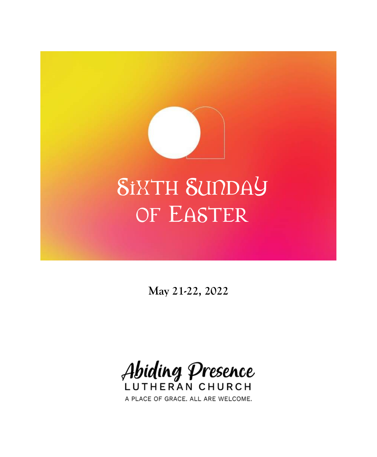# SIXTH SUNDAY OF EASTER

**May 21-22, 2022**

Abiding Presence LUTHERAN CHURCH

A PLACE OF GRACE. ALL ARE WELCOME.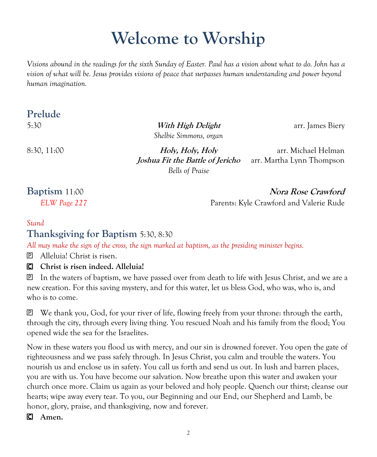## **Welcome to Worship**

*Visions abound in the readings for the sixth Sunday of Easter. Paul has a vision about what to do. John has a vision of what will be. Jesus provides visions of peace that surpasses human understanding and power beyond human imagination.*

#### **Prelude**

5:30 **With High Delight** arr. James Biery *Shelbie Simmons, organ*

8:30, 11:00 **Holy, Holy, Holy** arr. Michael Helman *Joshua Fit the Battle of Jericho* arr. Martha Lynn Thompson *Bells of Praise*

**Baptism 11:00** Nora Rose Crawford *ELW Page 227* Parents: Kyle Crawford and Valerie Rude

#### *Stand* **Thanksgiving for Baptism** 5:30, 8:30

*All may make the sign of the cross, the sign marked at baptism, as the presiding minister begins.*

**P** Alleluia! Christ is risen.

**Christ is risen indeed. Alleluia!**

 In the waters of baptism, we have passed over from death to life with Jesus Christ, and we are a new creation. For this saving mystery, and for this water, let us bless God, who was, who is, and who is to come.

 We thank you, God, for your river of life, flowing freely from your throne: through the earth, through the city, through every living thing. You rescued Noah and his family from the flood; You opened wide the sea for the Israelites.

Now in these waters you flood us with mercy, and our sin is drowned forever. You open the gate of righteousness and we pass safely through. In Jesus Christ, you calm and trouble the waters. You nourish us and enclose us in safety. You call us forth and send us out. In lush and barren places, you are with us. You have become our salvation. Now breathe upon this water and awaken your church once more. Claim us again as your beloved and holy people. Quench our thirst; cleanse our hearts; wipe away every tear. To you, our Beginning and our End, our Shepherd and Lamb, be honor, glory, praise, and thanksgiving, now and forever.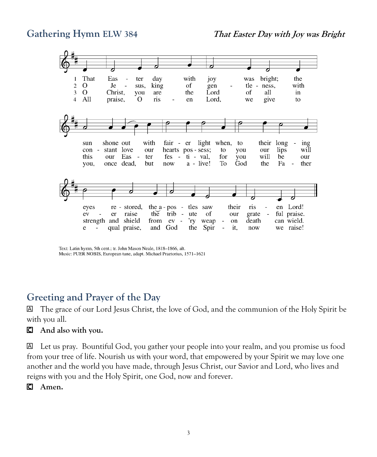

Text: Latin hymn, 5th cent.; tr. John Mason Neale, 1818-1866, alt. Music: PUER NOBIS, European tune, adapt. Michael Praetorius, 1571-1621

#### **Greeting and Prayer of the Day**

 The grace of our Lord Jesus Christ, the love of God, and the communion of the Holy Spirit be with you all.

#### **And also with you.**

 Let us pray. Bountiful God, you gather your people into your realm, and you promise us food from your tree of life. Nourish us with your word, that empowered by your Spirit we may love one another and the world you have made, through Jesus Christ, our Savior and Lord, who lives and reigns with you and the Holy Spirit, one God, now and forever.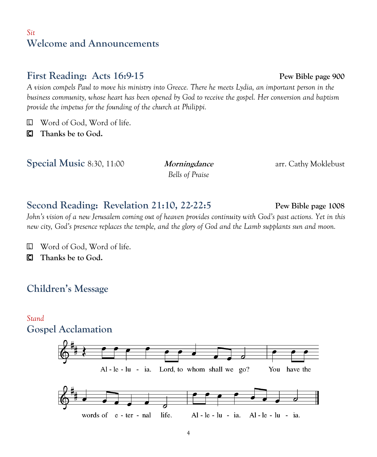#### *Sit* **Welcome and Announcements**

### **First Reading: Acts 16:9-15 Pew Bible page 900**

*A vision compels Paul to move his ministry into Greece. There he meets Lydia, an important person in the business community, whose heart has been opened by God to receive the gospel. Her conversion and baptism provide the impetus for the founding of the church at Philippi.*

Word of God, Word of life.

**Thanks be to God.**

**Special Music 8:30, 11:00** *Morningdance* arr. Cathy Moklebust

*Bells of Praise*

#### **Second Reading: Revelation 21:10, 22-22:5 Pew Bible page 1008**

*John's vision of a new Jerusalem coming out of heaven provides continuity with God's past actions. Yet in this new city, God's presence replaces the temple, and the glory of God and the Lamb supplants sun and moon.*

Word of God, Word of life.

**Thanks be to God.**

### **Children's Message**

#### *Stand* **Gospel Acclamation**

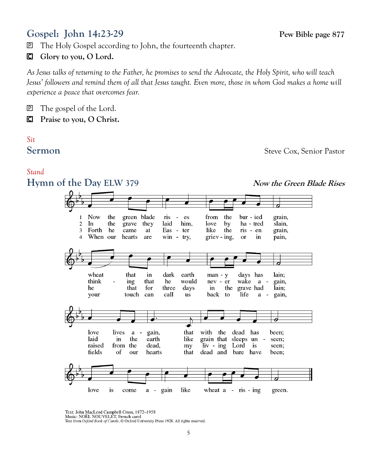#### **Gospel: John 14:23-29 Pew Bible page 877**

The Holy Gospel according to John, the fourteenth chapter.

**Glory to you, O Lord.**

*As Jesus talks of returning to the Father, he promises to send the Advocate, the Holy Spirit, who will teach Jesus' followers and remind them of all that Jesus taught. Even more, those in whom God makes a home will experience a peace that overcomes fear.*

#### **P** The gospel of the Lord.

**Praise to you, O Christ.**

#### *Sit* **Sermon** Steve Cox, Senior Pastor

#### *Stand*

**Hymn of the Day ELW 379** *Now the Green Blade Rises* **Now** the green blade from the bur - ied  $\mathbf{1}$  $\dot{\mathbf{n}}$ s  $\sim$ es grain,  $\overline{c}$ In the grave they laid him. love by ha - tred slain. Forth he Eas - ter like the  $\overline{3}$ came at ris - en grain,  $\overline{4}$ When our hearts are win - try, griev - ing. **or** in pain, wheat that in dark earth  $man - y$ days has lain; think ing that he would  $nev - er$ wake gain, a  $\overline{a}$ he that for three days in the grave had lain: touch can call life your  $\overline{\mathbf{u}}$ s back to a  $\sim$ gain, love that lives  $a$ gain, with the dead has been: laid in the earth like grain that sleeps un seen; raised from the dead, my  $\ln v - \ln g$ Lord is seen; fields of our hearts that dead and bare have been; a - gain love is come like wheat  $a - ris - ing$ green.

> Text: John MacLeod Campbell Crum, 1872-1958<br>Music: NOËL NOUVELET, French carol Text from Oxford Book of Carols, @ Oxford University Press 1928. All rights reserved.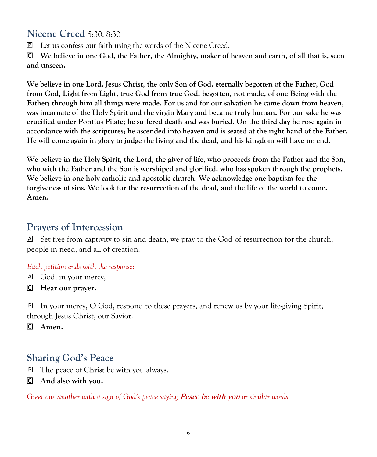#### **Nicene Creed** 5:30, 8:30

Let us confess our faith using the words of the Nicene Creed.

 **We believe in one God, the Father, the Almighty, maker of heaven and earth, of all that is, seen and unseen.**

**We believe in one Lord, Jesus Christ, the only Son of God, eternally begotten of the Father, God from God, Light from Light, true God from true God, begotten, not made, of one Being with the Father; through him all things were made. For us and for our salvation he came down from heaven, was incarnate of the Holy Spirit and the virgin Mary and became truly human. For our sake he was crucified under Pontius Pilate; he suffered death and was buried. On the third day he rose again in accordance with the scriptures; he ascended into heaven and is seated at the right hand of the Father. He will come again in glory to judge the living and the dead, and his kingdom will have no end.**

**We believe in the Holy Spirit, the Lord, the giver of life, who proceeds from the Father and the Son, who with the Father and the Son is worshiped and glorified, who has spoken through the prophets. We believe in one holy catholic and apostolic church. We acknowledge one baptism for the forgiveness of sins. We look for the resurrection of the dead, and the life of the world to come. Amen.**

#### **Prayers of Intercession**

 $\boxtimes$  Set free from captivity to sin and death, we pray to the God of resurrection for the church, people in need, and all of creation.

#### *Each petition ends with the response:*

God, in your mercy,

**Hear our prayer.**

 In your mercy, O God, respond to these prayers, and renew us by your life-giving Spirit; through Jesus Christ, our Savior.

**Amen.**

#### **Sharing God's Peace**

The peace of Christ be with you always.

**And also with you.**

*Greet one another with a sign of God's peace saying Peace be with you or similar words.*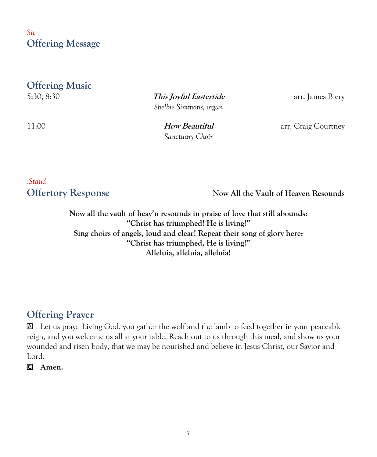*Sit* **Offering Message**

#### **Offering Music**

5:30, 8:30 **This Joyful Eastertide** arr. James Biery *Shelbie Simmons, organ*

*Sanctuary Choir*

11:00 **How Beautiful** arr. Craig Courtney

# .*Stand*

**Offertory Response Now All the Vault of Heaven Resounds**

**Now all the vault of heav'n resounds in praise of love that still abounds: "Christ has triumphed! He is living!" Sing choirs of angels, loud and clear! Repeat their song of glory here: "Christ has triumphed, He is living!" Alleluia, alleluia, alleluia!**

### **Offering Prayer**

 Let us pray: Living God, you gather the wolf and the lamb to feed together in your peaceable reign, and you welcome us all at your table. Reach out to us through this meal, and show us your wounded and risen body, that we may be nourished and believe in Jesus Christ, our Savior and Lord.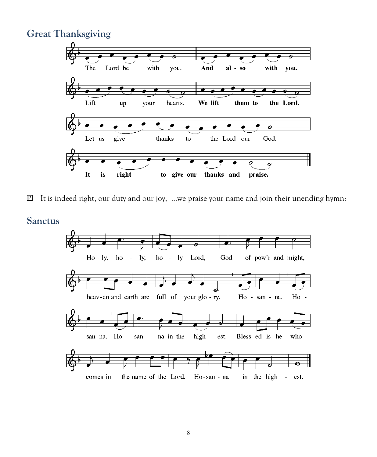#### **Great Thanksgiving**



 $\mathbb{P}$  It is indeed right, our duty and our joy, …we praise your name and join their unending hymn:

#### **Sanctus**

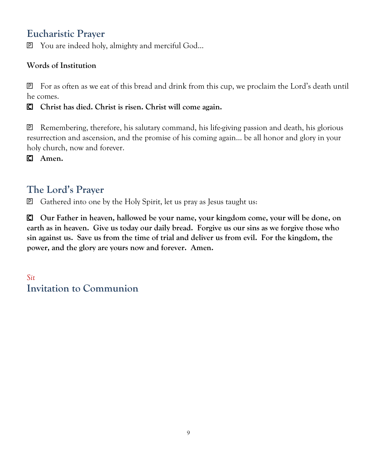#### **Eucharistic Prayer**

You are indeed holy, almighty and merciful God...

#### **Words of Institution**

 For as often as we eat of this bread and drink from this cup, we proclaim the Lord's death until he comes.

**Christ has died. Christ is risen. Christ will come again.**

 $\mathbb{P}$  Remembering, therefore, his salutary command, his life-giving passion and death, his glorious resurrection and ascension, and the promise of his coming again… be all honor and glory in your holy church, now and forever.

**Amen.**

### **The Lord's Prayer**

Gathered into one by the Holy Spirit, let us pray as Jesus taught us:

 **Our Father in heaven, hallowed be your name, your kingdom come, your will be done, on earth as in heaven. Give us today our daily bread. Forgive us our sins as we forgive those who sin against us. Save us from the time of trial and deliver us from evil. For the kingdom, the power, and the glory are yours now and forever. Amen.**

*Sit* **Invitation to Communion**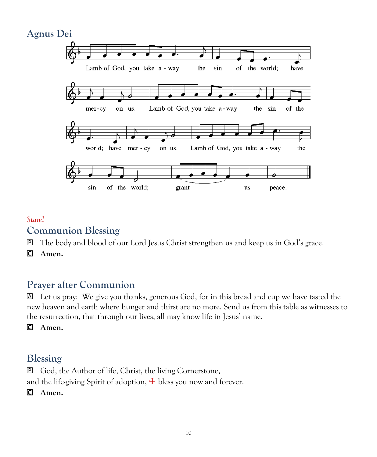#### **Agnus Dei** Lamb of God, you take a - way of the world; the sin have on us. Lamb of God, you take a-way of the mer-cy the sin world; have mer - cy on us. Lamb of God, you take a - way the sin of the world; grant us peace.

#### *Stand*

#### **Communion Blessing**

The body and blood of our Lord Jesus Christ strengthen us and keep us in God's grace.

**Amen.**

### **Prayer after Communion**

 Let us pray: We give you thanks, generous God, for in this bread and cup we have tasted the new heaven and earth where hunger and thirst are no more. Send us from this table as witnesses to the resurrection, that through our lives, all may know life in Jesus' name.

#### **Amen.**

#### **Blessing**

 God, the Author of life, Christ, the living Cornerstone, and the life-giving Spirit of adoption,  $\pm$  bless you now and forever.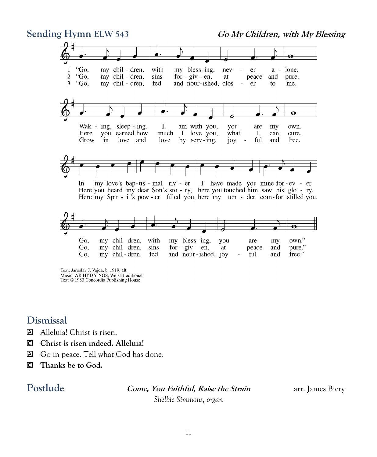

Text: Jaroslav J. Vajda, b. 1919, alt. Music: AR HYD Y NOS, Welsh traditional Text © 1983 Concordia Publishing House

#### **Dismissal**

- Alleluia! Christ is risen.
- **Christ is risen indeed. Alleluia!**
- Go in peace. Tell what God has done.
- **Thanks be to God.**

Postlude **Come, You Faithful, Raise the Strain** arr. James Biery

*Shelbie Simmons, organ*